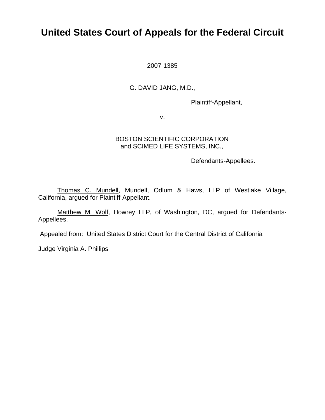# **United States Court of Appeals for the Federal Circuit**

2007-1385

## G. DAVID JANG, M.D.,

Plaintiff-Appellant,

v.

### BOSTON SCIENTIFIC CORPORATION and SCIMED LIFE SYSTEMS, INC.,

Defendants-Appellees.

 Thomas C. Mundell, Mundell, Odlum & Haws, LLP of Westlake Village, California, argued for Plaintiff-Appellant.

Matthew M. Wolf, Howrey LLP, of Washington, DC, argued for Defendants-Appellees.

Appealed from: United States District Court for the Central District of California

Judge Virginia A. Phillips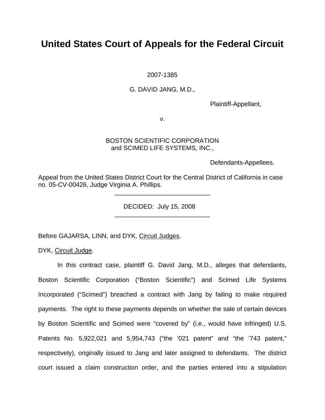# **United States Court of Appeals for the Federal Circuit**

2007-1385

#### G. DAVID JANG, M.D.,

Plaintiff-Appellant,

v.

#### BOSTON SCIENTIFIC CORPORATION and SCIMED LIFE SYSTEMS, INC.,

Defendants-Appellees.

Appeal from the United States District Court for the Central District of California in case no. 05-CV-00426, Judge Virginia A. Phillips.

DECIDED: July 15, 2008

 $\frac{1}{\sqrt{2}}$  ,  $\frac{1}{\sqrt{2}}$  ,  $\frac{1}{\sqrt{2}}$  ,  $\frac{1}{\sqrt{2}}$  ,  $\frac{1}{\sqrt{2}}$  ,  $\frac{1}{\sqrt{2}}$  ,  $\frac{1}{\sqrt{2}}$  ,  $\frac{1}{\sqrt{2}}$  ,  $\frac{1}{\sqrt{2}}$  ,  $\frac{1}{\sqrt{2}}$  ,  $\frac{1}{\sqrt{2}}$  ,  $\frac{1}{\sqrt{2}}$  ,  $\frac{1}{\sqrt{2}}$  ,  $\frac{1}{\sqrt{2}}$  ,  $\frac{1}{\sqrt{2}}$ 

 $\frac{1}{2}$  ,  $\frac{1}{2}$  ,  $\frac{1}{2}$  ,  $\frac{1}{2}$  ,  $\frac{1}{2}$  ,  $\frac{1}{2}$  ,  $\frac{1}{2}$  ,  $\frac{1}{2}$  ,  $\frac{1}{2}$  ,  $\frac{1}{2}$  ,  $\frac{1}{2}$  ,  $\frac{1}{2}$  ,  $\frac{1}{2}$  ,  $\frac{1}{2}$  ,  $\frac{1}{2}$  ,  $\frac{1}{2}$  ,  $\frac{1}{2}$  ,  $\frac{1}{2}$  ,  $\frac{1$ 

Before GAJARSA, LINN, and DYK, Circuit Judges.

DYK, Circuit Judge.

 In this contract case, plaintiff G. David Jang, M.D., alleges that defendants, Boston Scientific Corporation ("Boston Scientific") and Scimed Life Systems Incorporated ("Scimed") breached a contract with Jang by failing to make required payments. The right to these payments depends on whether the sale of certain devices by Boston Scientific and Scimed were "covered by" (i.e., would have infringed) U.S. Patents No. 5,922,021 and 5,954,743 ("the '021 patent" and "the '743 patent," respectively), originally issued to Jang and later assigned to defendants. The district court issued a claim construction order, and the parties entered into a stipulation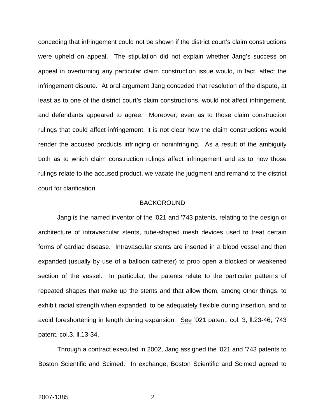conceding that infringement could not be shown if the district court's claim constructions were upheld on appeal. The stipulation did not explain whether Jang's success on appeal in overturning any particular claim construction issue would, in fact, affect the infringement dispute. At oral argument Jang conceded that resolution of the dispute, at least as to one of the district court's claim constructions, would not affect infringement, and defendants appeared to agree. Moreover, even as to those claim construction rulings that could affect infringement, it is not clear how the claim constructions would render the accused products infringing or noninfringing. As a result of the ambiguity both as to which claim construction rulings affect infringement and as to how those rulings relate to the accused product, we vacate the judgment and remand to the district court for clarification.

#### BACKGROUND

 Jang is the named inventor of the '021 and '743 patents, relating to the design or architecture of intravascular stents, tube-shaped mesh devices used to treat certain forms of cardiac disease. Intravascular stents are inserted in a blood vessel and then expanded (usually by use of a balloon catheter) to prop open a blocked or weakened section of the vessel. In particular, the patents relate to the particular patterns of repeated shapes that make up the stents and that allow them, among other things, to exhibit radial strength when expanded, to be adequately flexible during insertion, and to avoid foreshortening in length during expansion. See '021 patent, col. 3, ll.23-46; '743 patent, col.3, ll.13-34.

Through a contract executed in 2002, Jang assigned the '021 and '743 patents to Boston Scientific and Scimed. In exchange, Boston Scientific and Scimed agreed to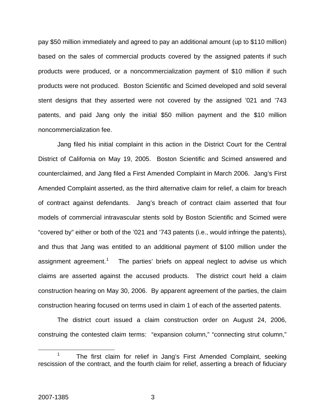pay \$50 million immediately and agreed to pay an additional amount (up to \$110 million) based on the sales of commercial products covered by the assigned patents if such products were produced, or a noncommercialization payment of \$10 million if such products were not produced. Boston Scientific and Scimed developed and sold several stent designs that they asserted were not covered by the assigned '021 and '743 patents, and paid Jang only the initial \$50 million payment and the \$10 million noncommercialization fee.

Jang filed his initial complaint in this action in the District Court for the Central District of California on May 19, 2005. Boston Scientific and Scimed answered and counterclaimed, and Jang filed a First Amended Complaint in March 2006. Jang's First Amended Complaint asserted, as the third alternative claim for relief, a claim for breach of contract against defendants. Jang's breach of contract claim asserted that four models of commercial intravascular stents sold by Boston Scientific and Scimed were "covered by" either or both of the '021 and '743 patents (i.e., would infringe the patents), and thus that Jang was entitled to an additional payment of \$100 million under the assignment agreement.<sup>[1](#page-3-0)</sup> The parties' briefs on appeal neglect to advise us which claims are asserted against the accused products. The district court held a claim construction hearing on May 30, 2006. By apparent agreement of the parties, the claim construction hearing focused on terms used in claim 1 of each of the asserted patents.

The district court issued a claim construction order on August 24, 2006, construing the contested claim terms: "expansion column," "connecting strut column,"

<span id="page-3-0"></span> $\frac{1}{1}$  The first claim for relief in Jang's First Amended Complaint, seeking rescission of the contract, and the fourth claim for relief, asserting a breach of fiduciary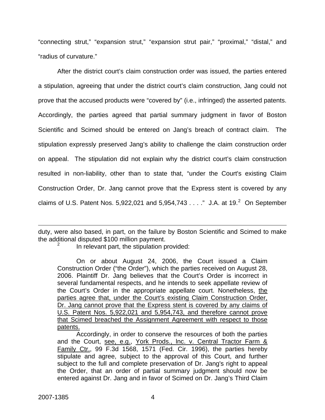"connecting strut," "expansion strut," "expansion strut pair," "proximal," "distal," and "radius of curvature."

After the district court's claim construction order was issued, the parties entered a stipulation, agreeing that under the district court's claim construction, Jang could not prove that the accused products were "covered by" (i.e., infringed) the asserted patents. Accordingly, the parties agreed that partial summary judgment in favor of Boston Scientific and Scimed should be entered on Jang's breach of contract claim. The stipulation expressly preserved Jang's ability to challenge the claim construction order on appeal. The stipulation did not explain why the district court's claim construction resulted in non-liability, other than to state that, "under the Court's existing Claim Construction Order, Dr. Jang cannot prove that the Express stent is covered by any claims of U.S. Patent Nos. 5,9[2](#page-4-0)2,021 and 5,954,743  $\dots$ ." J.A. at 19. $^2$  On September

<span id="page-4-0"></span>duty, were also based, in part, on the failure by Boston Scientific and Scimed to make the additional disputed \$100 million payment. 2

In relevant part, the stipulation provided:

 On or about August 24, 2006, the Court issued a Claim Construction Order ("the Order"), which the parties received on August 28, 2006. Plaintiff Dr. Jang believes that the Court's Order is incorrect in several fundamental respects, and he intends to seek appellate review of the Court's Order in the appropriate appellate court. Nonetheless, the parties agree that, under the Court's existing Claim Construction Order, Dr. Jang cannot prove that the Express stent is covered by any claims of U.S. Patent Nos. 5,922,021 and 5,954,743, and therefore cannot prove that Scimed breached the Assignment Agreement with respect to those patents.

 Accordingly, in order to conserve the resources of both the parties and the Court, see, e.g., York Prods., lnc. v. Central Tractor Farm & Family Ctr., 99 F.3d 1568, 1571 (Fed. Cir. 1996), the parties hereby stipulate and agree, subject to the approval of this Court, and further subject to the full and complete preservation of Dr. Jang's right to appeal the Order, that an order of partial summary judgment should now be entered against Dr. Jang and in favor of Scimed on Dr. Jang's Third Claim

 $\overline{a}$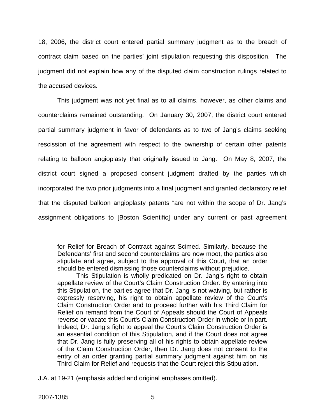18, 2006, the district court entered partial summary judgment as to the breach of contract claim based on the parties' joint stipulation requesting this disposition. The judgment did not explain how any of the disputed claim construction rulings related to the accused devices.

This judgment was not yet final as to all claims, however, as other claims and counterclaims remained outstanding. On January 30, 2007, the district court entered partial summary judgment in favor of defendants as to two of Jang's claims seeking rescission of the agreement with respect to the ownership of certain other patents relating to balloon angioplasty that originally issued to Jang. On May 8, 2007, the district court signed a proposed consent judgment drafted by the parties which incorporated the two prior judgments into a final judgment and granted declaratory relief that the disputed balloon angioplasty patents "are not within the scope of Dr. Jang's assignment obligations to [Boston Scientific] under any current or past agreement

 This Stipulation is wholly predicated on Dr. Jang's right to obtain appellate review of the Court's Claim Construction Order. By entering into this Stipulation, the parties agree that Dr. Jang is not waiving, but rather is expressly reserving, his right to obtain appellate review of the Court's Claim Construction Order and to proceed further with his Third Claim for Relief on remand from the Court of Appeals should the Court of Appeals reverse or vacate this Court's Claim Construction Order in whole or in part. Indeed, Dr. Jang's fight to appeal the Court's Claim Construction Order is an essential condition of this Stipulation, and if the Court does not agree that Dr. Jang is fully preserving all of his rights to obtain appellate review of the Claim Construction Order, then Dr. Jang does not consent to the entry of an order granting partial summary judgment against him on his Third Claim for Relief and requests that the Court reject this Stipulation.

J.A. at 19-21 (emphasis added and original emphases omitted).

1

for Relief for Breach of Contract against Scimed. Similarly, because the Defendants' first and second counterclaims are now moot, the parties also stipulate and agree, subject to the approval of this Court, that an order should be entered dismissing those counterclaims without prejudice.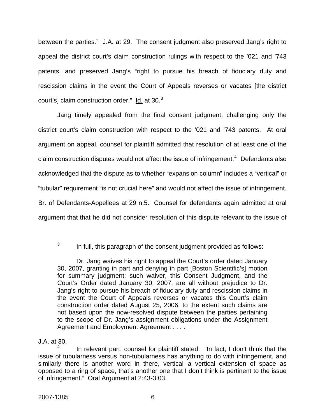between the parties." J.A. at 29. The consent judgment also preserved Jang's right to appeal the district court's claim construction rulings with respect to the '021 and '743 patents, and preserved Jang's "right to pursue his breach of fiduciary duty and rescission claims in the event the Court of Appeals reverses or vacates [the district court's] claim construction order." ld. at [3](#page-6-0)0.<sup>3</sup>

Jang timely appealed from the final consent judgment, challenging only the district court's claim construction with respect to the '021 and '743 patents. At oral argument on appeal, counsel for plaintiff admitted that resolution of at least one of the claim construction disputes would not affect the issue of infringement. $4$  Defendants also acknowledged that the dispute as to whether "expansion column" includes a "vertical" or "tubular" requirement "is not crucial here" and would not affect the issue of infringement. Br. of Defendants-Appellees at 29 n.5. Counsel for defendants again admitted at oral argument that that he did not consider resolution of this dispute relevant to the issue of

<span id="page-6-0"></span> $\overline{\phantom{a}}$  3  $3 \cdot$  In full, this paragraph of the consent judgment provided as follows:

Dr. Jang waives his right to appeal the Court's order dated January 30, 2007, granting in part and denying in part [Boston Scientific's] motion for summary judgment; such waiver, this Consent Judgment, and the Court's Order dated January 30, 2007, are all without prejudice to Dr. Jang's right to pursue his breach of fiduciary duty and rescission claims in the event the Court of Appeals reverses or vacates this Court's claim construction order dated August 25, 2006, to the extent such claims are not based upon the now-resolved dispute between the parties pertaining to the scope of Dr. Jang's assignment obligations under the Assignment Agreement and Employment Agreement . . . .

J.A. at 30.

<span id="page-6-1"></span><sup>4</sup> In relevant part, counsel for plaintiff stated: "In fact, I don't think that the issue of tubularness versus non-tubularness has anything to do with infringement, and similarly there is another word in there, vertical--a vertical extension of space as opposed to a ring of space, that's another one that I don't think is pertinent to the issue of infringement." Oral Argument at 2:43-3:03.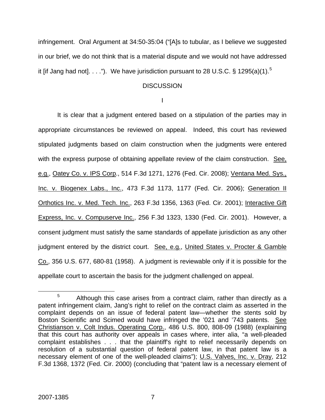infringement. Oral Argument at 34:50-35:04 ("[A]s to tubular, as I believe we suggested in our brief, we do not think that is a material dispute and we would not have addressed it [if Jang had not].  $\dots$ "). We have jurisdiction pursuant to 28 U.S.C. § 129[5](#page-7-0)(a)(1).<sup>5</sup>

### **DISCUSSION**

I

 It is clear that a judgment entered based on a stipulation of the parties may in appropriate circumstances be reviewed on appeal. Indeed, this court has reviewed stipulated judgments based on claim construction when the judgments were entered with the express purpose of obtaining appellate review of the claim construction. See, e.g., Oatey Co. v. IPS Corp., 514 F.3d 1271, 1276 (Fed. Cir. 2008); Ventana Med. Sys., Inc. v. Biogenex Labs., Inc., 473 F.3d 1173, 1177 (Fed. Cir. 2006); Generation II Orthotics Inc. v. Med. Tech. Inc., 263 F.3d 1356, 1363 (Fed. Cir. 2001); Interactive Gift Express, Inc. v. Compuserve Inc., 256 F.3d 1323, 1330 (Fed. Cir. 2001). However, a consent judgment must satisfy the same standards of appellate jurisdiction as any other judgment entered by the district court. See, e.g., United States v. Procter & Gamble Co., 356 U.S. 677, 680-81 (1958). A judgment is reviewable only if it is possible for the appellate court to ascertain the basis for the judgment challenged on appeal.

<span id="page-7-0"></span> $\frac{1}{5}$  $5$  Although this case arises from a contract claim, rather than directly as a patent infringement claim, Jang's right to relief on the contract claim as asserted in the complaint depends on an issue of federal patent law—whether the stents sold by Boston Scientific and Scimed would have infringed the '021 and '743 patents. See Christianson v. Colt Indus. Operating Corp., 486 U.S. 800, 808-09 (1988) (explaining that this court has authority over appeals in cases where, inter alia, "a well-pleaded complaint establishes . . . that the plaintiff's right to relief necessarily depends on resolution of a substantial question of federal patent law, in that patent law is a necessary element of one of the well-pleaded claims"); U.S. Valves, Inc. v. Dray, 212 F.3d 1368, 1372 (Fed. Cir. 2000) (concluding that "patent law is a necessary element of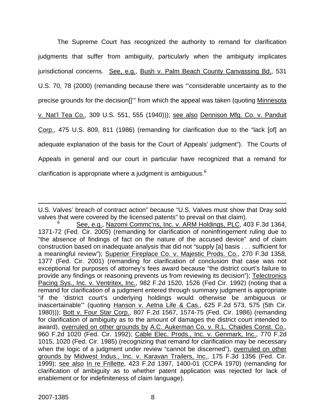The Supreme Court has recognized the authority to remand for clarification judgments that suffer from ambiguity, particularly when the ambiguity implicates jurisdictional concerns. See, e.g., Bush v. Palm Beach County Canvassing Bd., 531 U.S. 70, 78 (2000) (remanding because there was "'considerable uncertainty as to the precise grounds for the decision<sup>[]"</sup> from which the appeal was taken (quoting Minnesota v. Nat'l Tea Co., 309 U.S. 551, 555 (1940))); see also Dennison Mfg. Co. v. Panduit Corp., 475 U.S. 809, 811 (1986) (remanding for clarification due to the "lack [of] an adequate explanation of the basis for the Court of Appeals' judgment"). The Courts of Appeals in general and our court in particular have recognized that a remand for clarification is appropriate where a judgment is ambiguous.<sup>[6](#page-8-0)</sup>

 $\overline{a}$ 

U.S. Valves' breach of contract action" because "U.S. Valves must show that Dray sold valves that were covered by the licensed patents" to prevail on that claim).

<span id="page-8-0"></span><sup>6</sup> See, e.g., Nazomi Commc'ns, Inc. v. ARM Holdings, PLC, 403 F.3d 1364, 1371-72 (Fed. Cir. 2005) (remanding for clarification of noninfringement ruling due to "the absence of findings of fact on the nature of the accused device" and of claim construction based on inadequate analysis that did not "supply [a] basis . . . sufficient for a meaningful review"); Superior Fireplace Co. v. Majestic Prods. Co., 270 F.3d 1358, 1377 (Fed. Cir. 2001) (remanding for clarification of conclusion that case was not exceptional for purposes of attorney's fees award because "the district court's failure to provide any findings or reasoning prevents us from reviewing its decision"); Telectronics Pacing Sys., Inc. v. Ventritex, Inc., 982 F.2d 1520, 1526 (Fed Cir. 1992) (noting that a remand for clarification of a judgment entered through summary judgment is appropriate "if the 'district court's underlying holdings would otherwise be ambiguous or inascertainable"" (quoting Hanson v. Aetna Life & Cas., 625 F.2d 573, 575 (5th Cir. 1980))); Bott v. Four Star Corp., 807 F.2d 1567, 1574-75 (Fed. Cir. 1986) (remanding for clarification of ambiguity as to the amount of damages the district court intended to award), overruled on other grounds by A.C. Aukerman Co. v. R.L. Chaides Const. Co., 960 F.2d 1020 (Fed. Cir. 1992); Cable Elec. Prods., Inc. v. Genmark, Inc., 770 F.2d 1015, 1020 (Fed. Cir. 1985) (recognizing that remand for clarification may be necessary when the logic of a judgment under review "cannot be discerned"), overruled on other grounds by Midwest Indus., Inc. v. Karavan Trailers, Inc., 175 F.3d 1356 (Fed. Cir. 1999); see also In re Frillette, 423 F.2d 1397, 1400-01 (CCPA 1970) (remanding for clarification of ambiguity as to whether patent application was rejected for lack of enablement or for indefiniteness of claim language).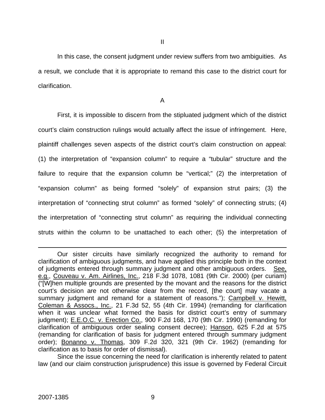In this case, the consent judgment under review suffers from two ambiguities. As a result, we conclude that it is appropriate to remand this case to the district court for clarification.

A

 First, it is impossible to discern from the stipluated judgment which of the district court's claim construction rulings would actually affect the issue of infringement. Here, plaintiff challenges seven aspects of the district court's claim construction on appeal: (1) the interpretation of "expansion column" to require a "tubular" structure and the failure to require that the expansion column be "vertical;" (2) the interpretation of "expansion column" as being formed "solely" of expansion strut pairs; (3) the interpretation of "connecting strut column" as formed "solely" of connecting struts; (4) the interpretation of "connecting strut column" as requiring the individual connecting struts within the column to be unattached to each other; (5) the interpretation of

 $\overline{a}$ 

Our sister circuits have similarly recognized the authority to remand for clarification of ambiguous judgments, and have applied this principle both in the context of judgments entered through summary judgment and other ambiguous orders. See, e.g., Couveau v. Am. Airlines, Inc., 218 F.3d 1078, 1081 (9th Cir. 2000) (per curiam) ("[W]hen multiple grounds are presented by the movant and the reasons for the district court's decision are not otherwise clear from the record, [the court] may vacate a summary judgment and remand for a statement of reasons."); Campbell v. Hewitt, Coleman & Assocs., Inc., 21 F.3d 52, 55 (4th Cir. 1994) (remanding for clarification when it was unclear what formed the basis for district court's entry of summary judgment); E.E.O.C. v. Erection Co., 900 F.2d 168, 170 (9th Cir. 1990) (remanding for clarification of ambiguous order sealing consent decree); Hanson, 625 F.2d at 575 (remanding for clarification of basis for judgment entered through summary judgment order); Bonanno v. Thomas, 309 F.2d 320, 321 (9th Cir. 1962) (remanding for clarification as to basis for order of dismissal).

Since the issue concerning the need for clarification is inherently related to patent law (and our claim construction jurisprudence) this issue is governed by Federal Circuit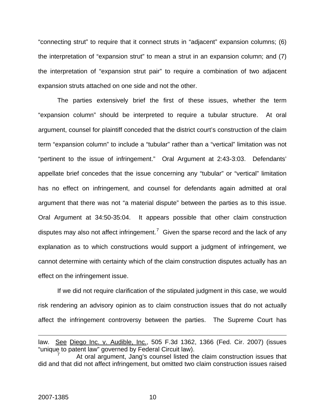"connecting strut" to require that it connect struts in "adjacent" expansion columns; (6) the interpretation of "expansion strut" to mean a strut in an expansion column; and (7) the interpretation of "expansion strut pair" to require a combination of two adjacent expansion struts attached on one side and not the other.

 The parties extensively brief the first of these issues, whether the term "expansion column" should be interpreted to require a tubular structure. At oral argument, counsel for plaintiff conceded that the district court's construction of the claim term "expansion column" to include a "tubular" rather than a "vertical" limitation was not "pertinent to the issue of infringement." Oral Argument at 2:43-3:03.Defendants' appellate brief concedes that the issue concerning any "tubular" or "vertical" limitation has no effect on infringement, and counsel for defendants again admitted at oral argument that there was not "a material dispute" between the parties as to this issue. Oral Argument at 34:50-35:04.It appears possible that other claim construction disputes may also not affect infringement.<sup>[7](#page-10-0)</sup> Given the sparse record and the lack of any explanation as to which constructions would support a judgment of infringement, we cannot determine with certainty which of the claim construction disputes actually has an effect on the infringement issue.

 If we did not require clarification of the stipulated judgment in this case, we would risk rendering an advisory opinion as to claim construction issues that do not actually affect the infringement controversy between the parties. The Supreme Court has

1

law. See Diego Inc. v. Audible, Inc., 505 F.3d 1362, 1366 (Fed. Cir. 2007) (issues "unique to patent law" governed by Federal Circuit law).

<span id="page-10-0"></span><sup>7</sup> At oral argument, Jang's counsel listed the claim construction issues that did and that did not affect infringement, but omitted two claim construction issues raised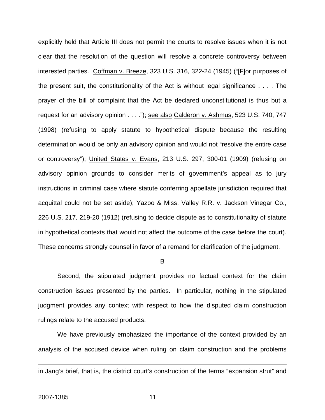explicitly held that Article III does not permit the courts to resolve issues when it is not clear that the resolution of the question will resolve a concrete controversy between interested parties. Coffman v. Breeze, 323 U.S. 316, 322-24 (1945) ("[F]or purposes of the present suit, the constitutionality of the Act is without legal significance . . . . The prayer of the bill of complaint that the Act be declared unconstitutional is thus but a request for an advisory opinion . . . ."); see also Calderon v. Ashmus, 523 U.S. 740, 747 (1998) (refusing to apply statute to hypothetical dispute because the resulting determination would be only an advisory opinion and would not "resolve the entire case or controversy"); United States v. Evans, 213 U.S. 297, 300-01 (1909) (refusing on advisory opinion grounds to consider merits of government's appeal as to jury instructions in criminal case where statute conferring appellate jurisdiction required that acquittal could not be set aside); Yazoo & Miss. Valley R.R. v. Jackson Vinegar Co., 226 U.S. 217, 219-20 (1912) (refusing to decide dispute as to constitutionality of statute in hypothetical contexts that would not affect the outcome of the case before the court). These concerns strongly counsel in favor of a remand for clarification of the judgment.

B

 Second, the stipulated judgment provides no factual context for the claim construction issues presented by the parties. In particular, nothing in the stipulated judgment provides any context with respect to how the disputed claim construction rulings relate to the accused products.

 We have previously emphasized the importance of the context provided by an analysis of the accused device when ruling on claim construction and the problems

<u>.</u>

in Jang's brief, that is, the district court's construction of the terms "expansion strut" and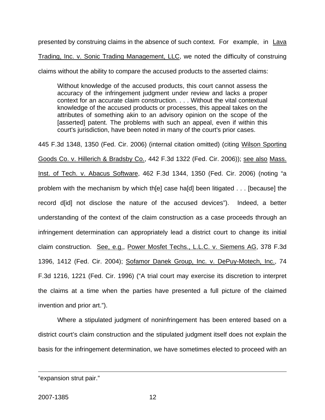presented by construing claims in the absence of such context. For example, in Lava Trading, Inc. v. Sonic Trading Management, LLC, we noted the difficulty of construing claims without the ability to compare the accused products to the asserted claims:

Without knowledge of the accused products, this court cannot assess the accuracy of the infringement judgment under review and lacks a proper context for an accurate claim construction. . . . Without the vital contextual knowledge of the accused products or processes, this appeal takes on the attributes of something akin to an advisory opinion on the scope of the [asserted] patent. The problems with such an appeal, even if within this court's jurisdiction, have been noted in many of the court's prior cases.

445 F.3d 1348, 1350 (Fed. Cir. 2006) (internal citation omitted) (citing Wilson Sporting Goods Co. v. Hillerich & Bradsby Co., 442 F.3d 1322 (Fed. Cir. 2006)); see also Mass. Inst. of Tech. v. Abacus Software, 462 F.3d 1344, 1350 (Fed. Cir. 2006) (noting "a problem with the mechanism by which th[e] case ha[d] been litigated . . . [because] the record d[id] not disclose the nature of the accused devices"). Indeed, a better understanding of the context of the claim construction as a case proceeds through an infringement determination can appropriately lead a district court to change its initial claim construction. See, e.g., Power Mosfet Techs., L.L.C. v. Siemens AG, 378 F.3d 1396, 1412 (Fed. Cir. 2004); Sofamor Danek Group, Inc. v. DePuy-Motech, Inc., 74 F.3d 1216, 1221 (Fed. Cir. 1996) ("A trial court may exercise its discretion to interpret the claims at a time when the parties have presented a full picture of the claimed invention and prior art.").

 Where a stipulated judgment of noninfringement has been entered based on a district court's claim construction and the stipulated judgment itself does not explain the basis for the infringement determination, we have sometimes elected to proceed with an

1

<sup>&</sup>quot;expansion strut pair."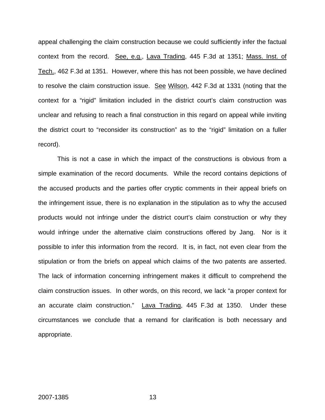appeal challenging the claim construction because we could sufficiently infer the factual context from the record. See, e.g., Lava Trading, 445 F.3d at 1351; Mass. Inst. of Tech., 462 F.3d at 1351. However, where this has not been possible, we have declined to resolve the claim construction issue. See Wilson, 442 F.3d at 1331 (noting that the context for a "rigid" limitation included in the district court's claim construction was unclear and refusing to reach a final construction in this regard on appeal while inviting the district court to "reconsider its construction" as to the "rigid" limitation on a fuller record).

 This is not a case in which the impact of the constructions is obvious from a simple examination of the record documents. While the record contains depictions of the accused products and the parties offer cryptic comments in their appeal briefs on the infringement issue, there is no explanation in the stipulation as to why the accused products would not infringe under the district court's claim construction or why they would infringe under the alternative claim constructions offered by Jang. Nor is it possible to infer this information from the record. It is, in fact, not even clear from the stipulation or from the briefs on appeal which claims of the two patents are asserted. The lack of information concerning infringement makes it difficult to comprehend the claim construction issues. In other words, on this record, we lack "a proper context for an accurate claim construction." Lava Trading, 445 F.3d at 1350. Under these circumstances we conclude that a remand for clarification is both necessary and appropriate.